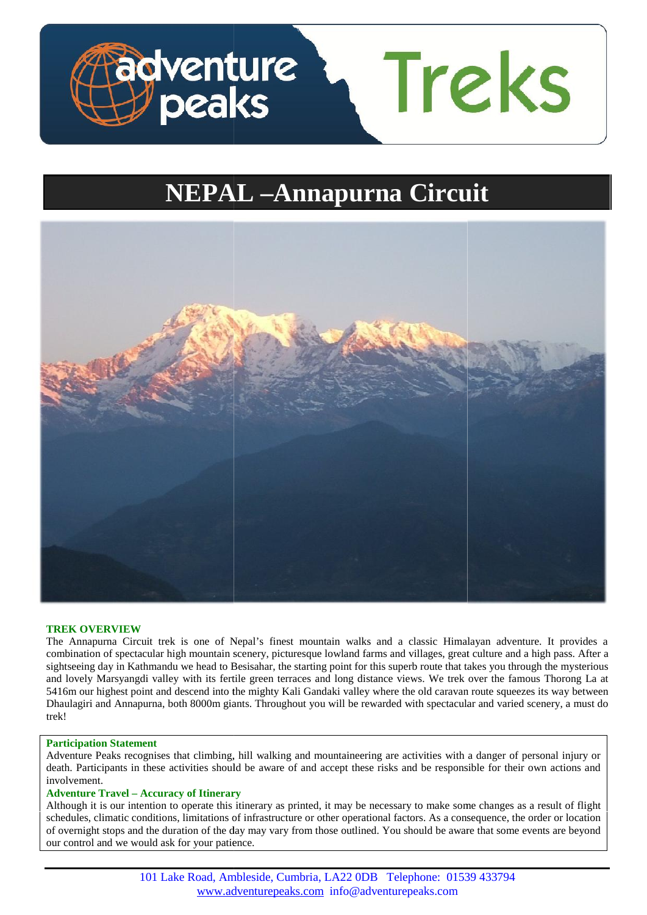

# **NEPAL –Annapurna Circuit**



## **TREK OVERVIEW**

The Annapurna Circuit trek is one of Nepal's finest mountain walks and a classic Himalayan adventure. It provides a combination of spectacular high mountain scenery, picturesque lowland farms and villages, great culture and a high pass. After a sightseeing day in Kathmandu we head to Besisahar, the starting point for this superb route that takes you through the mysterious<br>and lovely Marsyangdi valley with its fertile green terraces and long distance views. We tre and lovely Marsyangdi valley with its fertile green terraces and long distance views. We trek over the famous Thorong La at 5416m our highest point and descend into the mighty Kali Gandaki valley where the old caravan route squeezes its way between Dhaulagiri and Annapurna, both 8000m giants. Throughout you will be rewarded with spectacular and varied scenery, a must do trek!

#### **Participation Statement Statement**

Adventure Peaks recognises that climbing, hill walking and mountaineering are activities with a danger of personal injury or Adventure Peaks recognises that climbing, hill walking and mountaineering are activities with a danger of personal injury or death. Participants in these activities should be aware of and accept these risks and be responsi involvement.

#### **Adventure Travel – Accuracy of Itinerary –**

Although it is our intention to operate this itinerary as printed, it may be necessary to make some changes as a result of flight Although it is our intention to operate this itinerary as printed, it may be necessary to make some changes as a result of flight schedules, climatic conditions, limitations of infrastructure or other operational factors. of overnight stops and the duration of the day may vary from those outlined. You should be aware that some events are beyond our control and we would ask for your patience. Traction Statement<br> **Participation Statement**<br>
Adventure Peaks recognises that climbing, hill walking and mountaineering are activities with a danger of personal injury or<br>
death. Participants in these activities should be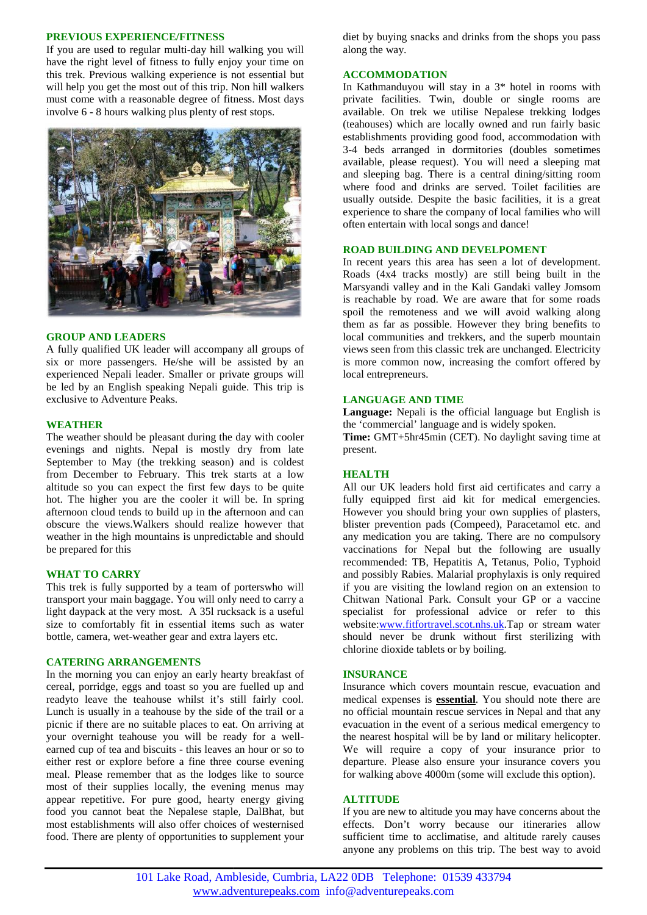#### **PREVIOUS EXPERIENCE/FITNESS**

If you are used to regular multi-day hill walking you will have the right level of fitness to fully enjoy your time on this trek. Previous walking experience is not essential but will help you get the most out of this trip. Non hill walkers must come with a reasonable degree of fitness. Most days involve 6 - 8 hours walking plus plenty of rest stops.



#### **GROUP AND LEADERS**

A fully qualified UK leader will accompany all groups of six or more passengers. He/she will be assisted by an experienced Nepali leader. Smaller or private groups will be led by an English speaking Nepali guide. This trip is exclusive to Adventure Peaks.

#### **WEATHER**

The weather should be pleasant during the day with cooler evenings and nights. Nepal is mostly dry from late September to May (the trekking season) and is coldest from December to February. This trek starts at a low **HE** altitude so you can expect the first few days to be quite hot. The higher you are the cooler it will be. In spring afternoon cloud tends to build up in the afternoon and can obscure the views.Walkers should realize however that weather in the high mountains is unpredictable and should be prepared for this September to May (the trekking season) and is coldest from December to February. This trek starts at a low altitude so you can expect the first few days to be quite hot. The higher you are the cooler it will be. In spring

#### **WHAT TO CARRY**

This trek is fully supported by a team of porterswho will transport your main baggage. You will only need to carry a light daypack at the very most. A 35l rucksack is a useful size to comfortably fit in essential items such as water bottle, camera, wet-weather gear and extra layers etc. This trek is fully supported by a team of porterswho will<br>transport your main baggage. You will only need to carry a<br>light daypack at the very most. A 351 rucksack is a useful<br>size to comfortably fit in essential items suc

#### **CATERING ARRANGEMENTS**

In the morning you can enjoy an early hearty breakfast of cereal, porridge, eggs and toast so you are fuelled up and readyto leave the teahouse whilst it's still fairly cool. Lunch is usually in a teahouse by the side of the trail or a picnic if there are no suitable places to eat. On arriving at your overnight teahouse you will be ready for a well earned cup of tea and biscuits - this leaves an hour or so to either rest or explore before a fine three course evening meal. Please remember that as the lodges like to source most of their supplies locally, the evening menus may appear repetitive. For pure good, hearty energy giving food you cannot beat the Nepalese staple, DalBhat, but most establishments will also offer choices of westernised food. There are plenty of opportunities to supplement your

diet by buying snacks and drinks from the shops you pass along the way.

## **ACCOMMODATION**

In Kathmanduyou will stay in a 3\* hotel in rooms with private facilities. Twin, double or single rooms are available. On trek we utilise Nepalese trekking lodges (teahouses) which are locally owned and run fairly basic establishments providing good food, accommodation with 3-4 beds arranged in dormitories (doubles sometimes available, please request). You will need a sleeping mat and sleeping bag. There is a central dining/sitting room where food and drinks are served. Toilet facilities are usually outside. Despite the basic facilities, it is a great experience to share the company of local families who will often entertain with local songs and dance!

## **ROAD BUILDING AND DEVELPOMENT ROAD BUILDING**

In recent years this area has seen a lot of development. Roads (4x4 tracks mostly) are still being built in the Marsyandi valley and in the Kali Gandaki valley Jomsom is reachable by road. We are aware that for some roads spoil the remoteness and we will avoid walking along them as far as possible. However they bring benefits to local communities and trekkers, and the superb mountain views seen from this classic trek are unchanged. Electricity is more common now, increasing the comfort offered by local entrepreneurs. andaki (4x4 tracks mostly) are still being built in the arsyandi valley and in the Kali Gandaki valley Jomsom reachable by road. We are aware that for some roads oil the remoteness and we will avoid walking along em as far

## **LANGUAGE AND TIME**

**Language:** Nepali is the official language but English is the 'commercial' language and is widely spoken.

**Time:** GMT+5hr45min (CET). No daylight saving time at present.

#### **HEALTH**

All our UK leaders hold first aid certificates and carry a fully equipped first aid kit for medical emergencies. However you should bring your own supplies of plasters, blister prevention pads (Compeed), Paracetamol etc. and any medication you are taking. There are no compulsory vaccinations for Nepal but the following are usually recommended: TB, Hepatitis A, Tetanus, Polio, Typhoid and possibly Rabies. Malarial prophylaxis is only required if you are visiting the lowland region on an extension to Chitwan National Park. Consult your GP or a vaccine specialist for professional advice or refer to this website:www.fitfortravel.scot.nhs.uk.Tap or stream water should never be drunk without first sterilizing with chlorine dioxide tablets or by boiling. All our UK leaders hold first aid certificates and car<br>fully equipped first aid kit for medical emergene<br>However you should bring your own supplies of plas<br>blister prevention pads (Compeed), Paracetamol etc.<br>any medication Park. Consult your GP or a vaccine<br>ofessional advice or refer to this<br>travel.scot.nhs.uk.Tap or stream water<br>drunk without first sterilizing with<br>lets or by boiling.<br>overs mountain rescue, evacuation and

#### **INSURANCE**

Insurance which covers mountain rescue, evacuation and medical expenses is **essential**. You should note there are no official mountain rescue services in Nepal and that any evacuation in the event of a serious medical emergency to the nearest hospital will be by land or military helicopter. We will require a copy of your insurance prior to departure. Please also ensure your insurance covers you for walking above 4000m (some will exclude this option). dical expenses is **essential**. You should note there are official mountain rescue services in Nepal and that any cuation in the event of a serious medical emergency to nearest hospital will be by land or military helicopte Iational Park. Consult your GP or a vaccine<br>for professional advice or refer to this<br>ww.fitfortravel.scot.nhs.uk.Tap or stream water<br>ver be drunk without first sterilizing with<br>oxide tablets or by boiling.<br>(**CE**<br>which cove

## **ALTITUDE**

If you are new to altitude you may have concerns about the effects. Don't worry because our itineraries allow sufficient time to acclimatise, and altitude rarely causes anyone any problems on this trip. The best way to avoid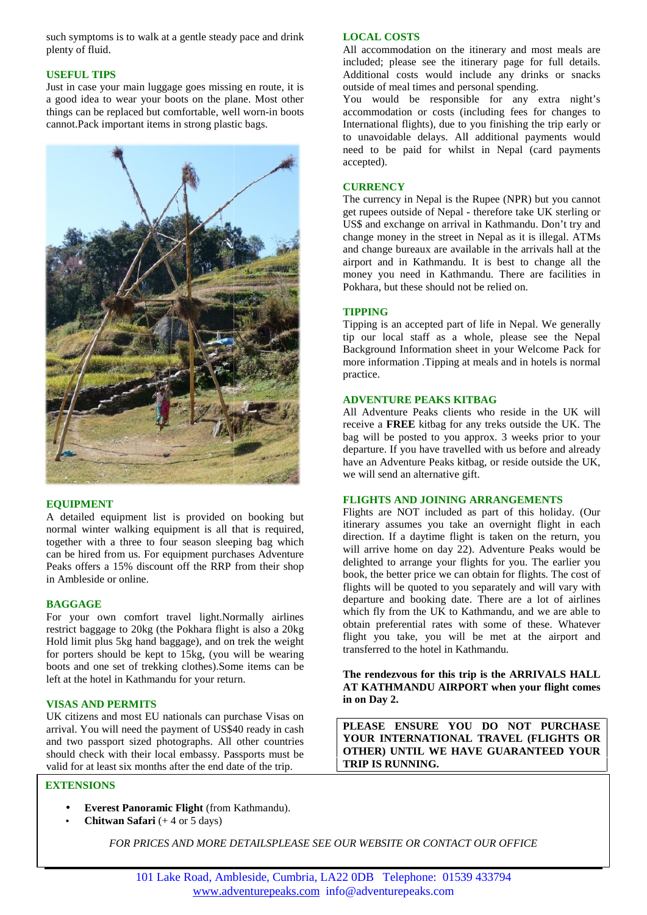such symptoms is to walk at a gentle steady pace and drink plenty of fluid.

# **USEFUL TIPS USEFUL TIPS**

Just in case your main luggage goes missing en route, it is a good idea to wear your boots on the plane. Most other things can be replaced but comfortable, well worn-in boots cannot.Pack important items in strong plastic bags.



## **EQUIPMENT**

A detailed equipment list is provided on booking but normal winter walking equipment is all that is required, together with a three to four season sleeping bag which can be hired from us. For equipment purchases Adventure Peaks offers a 15% discount off the RRP from their shop in Ambleside or online.

## **BAGGAGE**

For your own comfort travel light.Normally airlines restrict baggage to 20kg (the Pokhara flight is also a 20kg Hold limit plus 5kg hand baggage), and on trek the weight for porters should be kept to 15kg, (you will be wearing boots and one set of trekking clothes).Some items can be left at the hotel in Kathmandu for your return. together with a three to four season sleeping bag which<br>can be hired from us. For equipment purchases Adventure<br>Peaks offers a 15% discount off the RRP from their shop<br>in Ambleside or online.<br>**BAGGAGE**<br>For your own comfort

## **VISAS AND PERMITS VISAS**

UK citizens and most EU nationals can purchase Visas on arrival. You will need the payment of US\$40 ready in cash and two passport sized photographs. All other countries should check with their local embassy. Passports must be valid for at least six months after the end date of the trip.

# **EXTENSIONS**

- **Everest Panoramic Flight** (from Kathmandu).
- **Chitwan Safari**  $(+ 4 \text{ or } 5 \text{ days})$

#### **LOCAL COSTS**

All accommodation on the itinerary and most meals are included; please see the itinerary page for full details. Additional costs would include any drinks or snacks outside of meal times and personal spending.

You would be responsible for any extra night's accommodation or costs (including fees for changes to International flights), due to you finishing the trip early or to unavoidable delays. All additional payments would need to be paid for whilst in Nepal (card payments accepted).

#### **CURRENCY**

The currency in Nepal is the Rupee (NPR) but you cannot get rupees outside of Nepal - therefore take UK sterling or US\$ and exchange on arrival in Kathmandu. Don't try and change money in the street in Nepal as it is illegal. ATMs and change bureaux are available in the arrivals hall at the airport and in Kathmandu. It is best to change all the money you need in Kathmandu. There are facilities in Pokhara, but these should not be relied on.

# **TIPPING**

Tipping is an accepted part of life in Nepal. We generally tip our local staff as a whole, please see the Nepal Background Information sheet in your Welcome Pack for more information .Tipping at meals and in hotels is normal practice.

## **ADVENTURE PEAKS KITBAG**

All Adventure Peaks clients who reside in the UK will receive a **FREE** kitbag for any treks outside the UK. The bag will be posted to you approx. 3 weeks prior to your departure. If you have travelled with us before and already have an Adventure Peaks kitbag, or reside outside the UK, we will send an alternative gift.

#### **FLIGHTS AND JOINING ARRANGEMENTS**

Flights are NOT included as part of this holiday. (Our itinerary assumes you take an overnight flight in each direction. If a daytime flight is taken on the return, you will arrive home on day 22). Adventure Peaks would be delighted to arrange your flights for you. The earlier you book, the better price we can obtain for flights. The cost of flights will be quoted to you separately and will vary with departure and booking date. There are a lot of airlines which fly from the UK to Kathmandu, and we are able to obtain preferential rates with some of these. Whatever flight you take, you will be met at the airport and transferred to the hotel in Kathmandu.

**The rendezvous for this trip is the ARRIVALS HALL AT KATHMANDU AIRPORT when your flight comes in on Day 2.**

**PLEASE ENSURE YOU DO NOT PURCHASE YOUR INTERNATIONAL TRAVEL (FLIGHTS OR OTHER) UNTIL WE HAVE GUARANTEED YOUR TRIP IS RUNNING.**

*FOR PRICES AND MORE DETAILSPLEASE SEE OUR WEBSITE OR CONTACT OUR OFFICE*